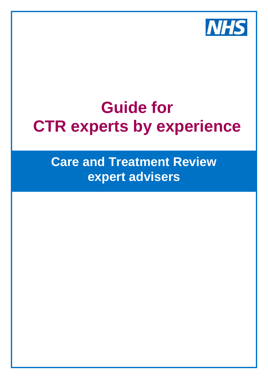

# **Guide for CTR experts by experience**

**Care and Treatment Review expert advisers**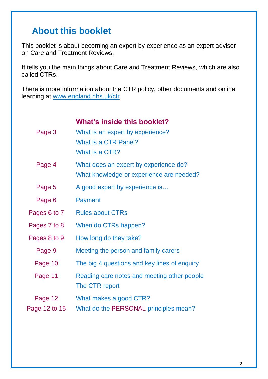### **About this booklet**

This booklet is about becoming an expert by experience as an expert adviser on Care and Treatment Reviews.

It tells you the main things about Care and Treatment Reviews, which are also called CTRs.

There is more information about the CTR policy, other documents and online learning at [www.england.nhs.uk/ctr.](http://www.england.nhs.uk/ctr)

#### **What's inside this booklet?**

| Page 3        | What is an expert by experience?<br>What is a CTR Panel?<br>What is a CTR?        |
|---------------|-----------------------------------------------------------------------------------|
| Page 4        | What does an expert by experience do?<br>What knowledge or experience are needed? |
| Page 5        | A good expert by experience is                                                    |
| Page 6        | <b>Payment</b>                                                                    |
| Pages 6 to 7  | <b>Rules about CTRs</b>                                                           |
| Pages 7 to 8  | When do CTRs happen?                                                              |
| Pages 8 to 9  | How long do they take?                                                            |
| Page 9        | Meeting the person and family carers                                              |
| Page 10       | The big 4 questions and key lines of enquiry                                      |
| Page 11       | Reading care notes and meeting other people<br>The CTR report                     |
| Page 12       | What makes a good CTR?                                                            |
| Page 12 to 15 | What do the PERSONAL principles mean?                                             |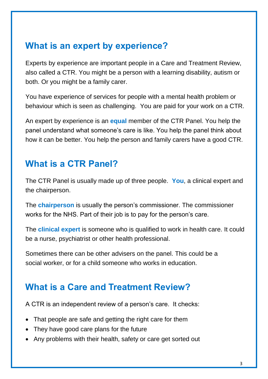### **What is an expert by experience?**

Experts by experience are important people in a Care and Treatment Review, also called a CTR. You might be a person with a learning disability, autism or both. Or you might be a family carer.

You have experience of services for people with a mental health problem or behaviour which is seen as challenging. You are paid for your work on a CTR.

An expert by experience is an **equal** member of the CTR Panel. You help the panel understand what someone's care is like. You help the panel think about how it can be better. You help the person and family carers have a good CTR.

#### **What is a CTR Panel?**

The CTR Panel is usually made up of three people. **You**, a clinical expert and the chairperson.

The **chairperson** is usually the person's commissioner. The commissioner works for the NHS. Part of their job is to pay for the person's care.

The **clinical expert** is someone who is qualified to work in health care. It could be a nurse, psychiatrist or other health professional.

Sometimes there can be other advisers on the panel. This could be a social worker, or for a child someone who works in education.

#### **What is a Care and Treatment Review?**

A CTR is an independent review of a person's care. It checks:

- That people are safe and getting the right care for them
- They have good care plans for the future
- Any problems with their health, safety or care get sorted out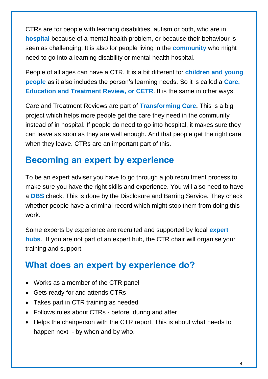CTRs are for people with learning disabilities, autism or both, who are in **hospital** because of a mental health problem, or because their behaviour is seen as challenging. It is also for people living in the **community** who might need to go into a learning disability or mental health hospital.

People of all ages can have a CTR. It is a bit different for **children and young people** as it also includes the person's learning needs. So it is called a **Care, Education and Treatment Review, or CETR**. It is the same in other ways.

Care and Treatment Reviews are part of **Transforming Care.** This is a big project which helps more people get the care they need in the community instead of in hospital. If people do need to go into hospital, it makes sure they can leave as soon as they are well enough. And that people get the right care when they leave. CTRs are an important part of this.

#### **Becoming an expert by experience**

To be an expert adviser you have to go through a job recruitment process to make sure you have the right skills and experience. You will also need to have a **DBS** check. This is done by the Disclosure and Barring Service. They check whether people have a criminal record which might stop them from doing this work.

Some experts by experience are recruited and supported by local **expert hubs**. If you are not part of an expert hub, the CTR chair will organise your training and support.

### **What does an expert by experience do?**

- Works as a member of the CTR panel
- Gets ready for and attends CTRs
- Takes part in CTR training as needed
- Follows rules about CTRs before, during and after
- Helps the chairperson with the CTR report. This is about what needs to happen next - by when and by who.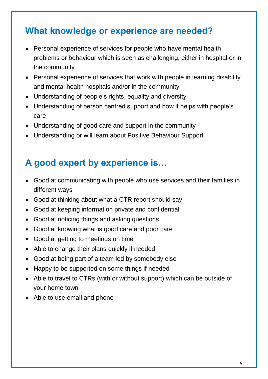### **What knowledge or experience are needed?**

- Personal experience of services for people who have mental health problems or behaviour which is seen as challenging, either in hospital or in the community
- Personal experience of services that work with people in learning disability and mental health hospitals and/or in the community
- Understanding of people's rights, equality and diversity
- Understanding of person centred support and how it helps with people's care
- Understanding of good care and support in the community
- Understanding or will learn about Positive Behaviour Support

### **A good expert by experience is…**

- Good at communicating with people who use services and their families in different ways
- Good at thinking about what a CTR report should say
- Good at keeping information private and confidential
- Good at noticing things and asking questions
- Good at knowing what is good care and poor care
- Good at getting to meetings on time
- Able to change their plans quickly if needed
- Good at being part of a team led by somebody else
- Happy to be supported on some things if needed
- Able to travel to CTRs (with or without support) which can be outside of your home town
- Able to use email and phone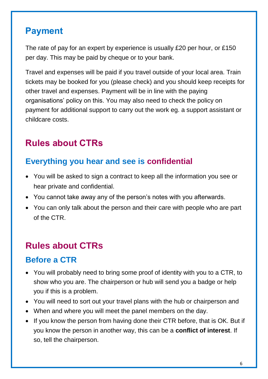#### **Payment**

The rate of pay for an expert by experience is usually £20 per hour, or £150 per day. This may be paid by cheque or to your bank.

Travel and expenses will be paid if you travel outside of your local area. Train tickets may be booked for you (please check) and you should keep receipts for other travel and expenses. Payment will be in line with the paying organisations' policy on this. You may also need to check the policy on payment for additional support to carry out the work eg. a support assistant or childcare costs.

### **Rules about CTRs**

#### **Everything you hear and see is confidential**

- You will be asked to sign a contract to keep all the information you see or hear private and confidential.
- You cannot take away any of the person's notes with you afterwards.
- You can only talk about the person and their care with people who are part of the CTR.

### **Rules about CTRs**

#### **Before a CTR**

- You will probably need to bring some proof of identity with you to a CTR, to show who you are. The chairperson or hub will send you a badge or help you if this is a problem.
- You will need to sort out your travel plans with the hub or chairperson and
- When and where you will meet the panel members on the day.
- If you know the person from having done their CTR before, that is OK. But if you know the person in another way, this can be a **conflict of interest**. If so, tell the chairperson.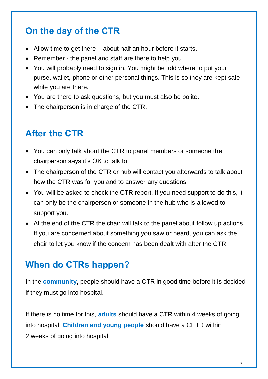### **On the day of the CTR**

- Allow time to get there about half an hour before it starts.
- Remember the panel and staff are there to help you.
- You will probably need to sign in. You might be told where to put your purse, wallet, phone or other personal things. This is so they are kept safe while you are there.
- You are there to ask questions, but you must also be polite.
- The chairperson is in charge of the CTR.

### **After the CTR**

- You can only talk about the CTR to panel members or someone the chairperson says it's OK to talk to.
- The chairperson of the CTR or hub will contact you afterwards to talk about how the CTR was for you and to answer any questions.
- You will be asked to check the CTR report. If you need support to do this, it can only be the chairperson or someone in the hub who is allowed to support you.
- At the end of the CTR the chair will talk to the panel about follow up actions. If you are concerned about something you saw or heard, you can ask the chair to let you know if the concern has been dealt with after the CTR.

#### **When do CTRs happen?**

In the **community**, people should have a CTR in good time before it is decided if they must go into hospital.

If there is no time for this, **adults** should have a CTR within 4 weeks of going into hospital. **Children and young people** should have a CETR within 2 weeks of going into hospital.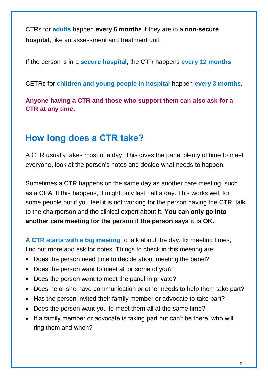CTRs for **adults** happen **every 6 months** if they are in a **non-secure hospital**, like an assessment and treatment unit.

If the person is in a **secure hospital**, the CTR happens **every 12 months**.

CETRs for **children and young people in hospital** happen **every 3 months**.

**Anyone having a CTR and those who support them can also ask for a CTR at any time.**

### **How long does a CTR take?**

A CTR usually takes most of a day. This gives the panel plenty of time to meet everyone, look at the person's notes and decide what needs to happen.

Sometimes a CTR happens on the same day as another care meeting, such as a CPA. If this happens, it might only last half a day. This works well for some people but if you feel it is not working for the person having the CTR, talk to the chairperson and the clinical expert about it. **You can only go into another care meeting for the person if the person says it is OK.**

**A CTR starts with a big meeting** to talk about the day, fix meeting times, find out more and ask for notes. Things to check in this meeting are:

- Does the person need time to decide about meeting the panel?
- Does the person want to meet all or some of you?
- Does the person want to meet the panel in private?
- Does he or she have communication or other needs to help them take part?
- Has the person invited their family member or advocate to take part?
- Does the person want you to meet them all at the same time?
- If a family member or advocate is taking part but can't be there, who will ring them and when?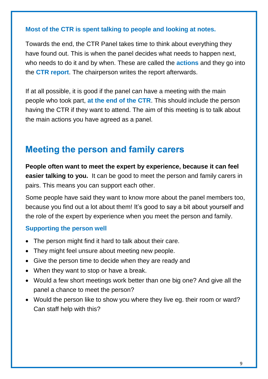#### **Most of the CTR is spent talking to people and looking at notes.**

Towards the end, the CTR Panel takes time to think about everything they have found out. This is when the panel decides what needs to happen next, who needs to do it and by when. These are called the **actions** and they go into the **CTR report**. The chairperson writes the report afterwards.

If at all possible, it is good if the panel can have a meeting with the main people who took part, **at the end of the CTR**. This should include the person having the CTR if they want to attend. The aim of this meeting is to talk about the main actions you have agreed as a panel.

#### **Meeting the person and family carers**

**People often want to meet the expert by experience, because it can feel easier talking to you.** It can be good to meet the person and family carers in pairs. This means you can support each other.

Some people have said they want to know more about the panel members too, because you find out a lot about them! It's good to say a bit about yourself and the role of the expert by experience when you meet the person and family.

#### **Supporting the person well**

- The person might find it hard to talk about their care.
- They might feel unsure about meeting new people.
- Give the person time to decide when they are ready and
- When they want to stop or have a break.
- Would a few short meetings work better than one big one? And give all the panel a chance to meet the person?
- Would the person like to show you where they live eg. their room or ward? Can staff help with this?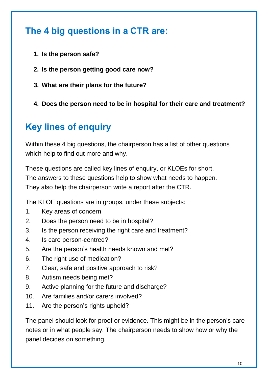### **The 4 big questions in a CTR are:**

- **1. Is the person safe?**
- **2. Is the person getting good care now?**
- **3. What are their plans for the future?**
- **4. Does the person need to be in hospital for their care and treatment?**

### **Key lines of enquiry**

Within these 4 big questions, the chairperson has a list of other questions which help to find out more and why.

These questions are called key lines of enquiry, or KLOEs for short. The answers to these questions help to show what needs to happen. They also help the chairperson write a report after the CTR.

The KLOE questions are in groups, under these subjects:

- 1. Key areas of concern
- 2. Does the person need to be in hospital?
- 3. Is the person receiving the right care and treatment?
- 4. Is care person-centred?
- 5. Are the person's health needs known and met?
- 6. The right use of medication?
- 7. Clear, safe and positive approach to risk?
- 8. Autism needs being met?
- 9. Active planning for the future and discharge?
- 10. Are families and/or carers involved?
- 11. Are the person's rights upheld?

The panel should look for proof or evidence. This might be in the person's care notes or in what people say. The chairperson needs to show how or why the panel decides on something.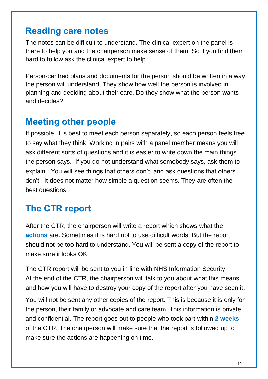#### **Reading care notes**

The notes can be difficult to understand. The clinical expert on the panel is there to help you and the chairperson make sense of them. So if you find them hard to follow ask the clinical expert to help.

Person-centred plans and documents for the person should be written in a way the person will understand. They show how well the person is involved in planning and deciding about their care. Do they show what the person wants and decides?

#### **Meeting other people**

If possible, it is best to meet each person separately, so each person feels free to say what they think. Working in pairs with a panel member means you will ask different sorts of questions and it is easier to write down the main things the person says. If you do not understand what somebody says, ask them to explain. You will see things that others don't, and ask questions that others don't. It does not matter how simple a question seems. They are often the best questions!

#### **The CTR report**

After the CTR, the chairperson will write a report which shows what the **actions** are. Sometimes it is hard not to use difficult words. But the report should not be too hard to understand. You will be sent a copy of the report to make sure it looks OK

The CTR report will be sent to you in line with NHS Information Security. At the end of the CTR, the chairperson will talk to you about what this means and how you will have to destroy your copy of the report after you have seen it.

You will not be sent any other copies of the report. This is because it is only for the person, their family or advocate and care team. This information is private and confidential. The report goes out to people who took part within **2 weeks** of the CTR. The chairperson will make sure that the report is followed up to make sure the actions are happening on time.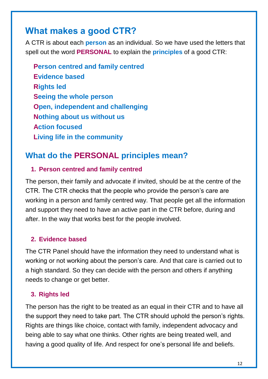#### **What makes a good CTR?**

A CTR is about each **person** as an individual. So we have used the letters that spell out the word **PERSONAL** to explain the **principles** of a good CTR:

**Person centred and family centred Evidence based Rights led Seeing the whole person Open, independent and challenging Nothing about us without us Action focused Living life in the community**

#### **What do the PERSONAL principles mean?**

#### **1. Person centred and family centred**

The person, their family and advocate if invited, should be at the centre of the CTR. The CTR checks that the people who provide the person's care are working in a person and family centred way. That people get all the information and support they need to have an active part in the CTR before, during and after. In the way that works best for the people involved.

#### **2. Evidence based**

The CTR Panel should have the information they need to understand what is working or not working about the person's care. And that care is carried out to a high standard. So they can decide with the person and others if anything needs to change or get better.

#### **3. Rights led**

The person has the right to be treated as an equal in their CTR and to have all the support they need to take part. The CTR should uphold the person's rights. Rights are things like choice, contact with family, independent advocacy and being able to say what one thinks. Other rights are being treated well, and having a good quality of life. And respect for one's personal life and beliefs.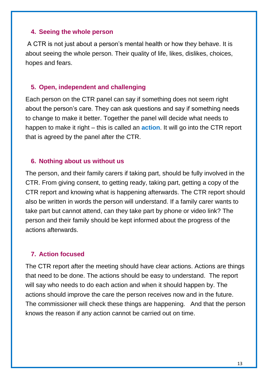#### **4. Seeing the whole person**

A CTR is not just about a person's mental health or how they behave. It is about seeing the whole person. Their quality of life, likes, dislikes, choices, hopes and fears.

#### **5. Open, independent and challenging**

Each person on the CTR panel can say if something does not seem right about the person's care. They can ask questions and say if something needs to change to make it better. Together the panel will decide what needs to happen to make it right – this is called an **action**. It will go into the CTR report that is agreed by the panel after the CTR.

#### **6. Nothing about us without us**

The person, and their family carers if taking part, should be fully involved in the CTR. From giving consent, to getting ready, taking part, getting a copy of the CTR report and knowing what is happening afterwards. The CTR report should also be written in words the person will understand. If a family carer wants to take part but cannot attend, can they take part by phone or video link? The person and their family should be kept informed about the progress of the actions afterwards.

#### **7. Action focused**

The CTR report after the meeting should have clear actions. Actions are things that need to be done. The actions should be easy to understand. The report will say who needs to do each action and when it should happen by. The actions should improve the care the person receives now and in the future. The commissioner will check these things are happening. And that the person knows the reason if any action cannot be carried out on time.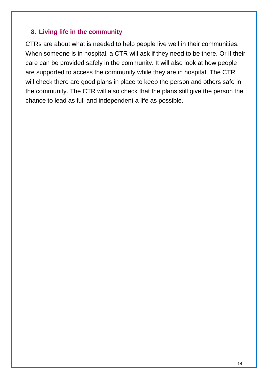#### **8. Living life in the community**

CTRs are about what is needed to help people live well in their communities. When someone is in hospital, a CTR will ask if they need to be there. Or if their care can be provided safely in the community. It will also look at how people are supported to access the community while they are in hospital. The CTR will check there are good plans in place to keep the person and others safe in the community. The CTR will also check that the plans still give the person the chance to lead as full and independent a life as possible.